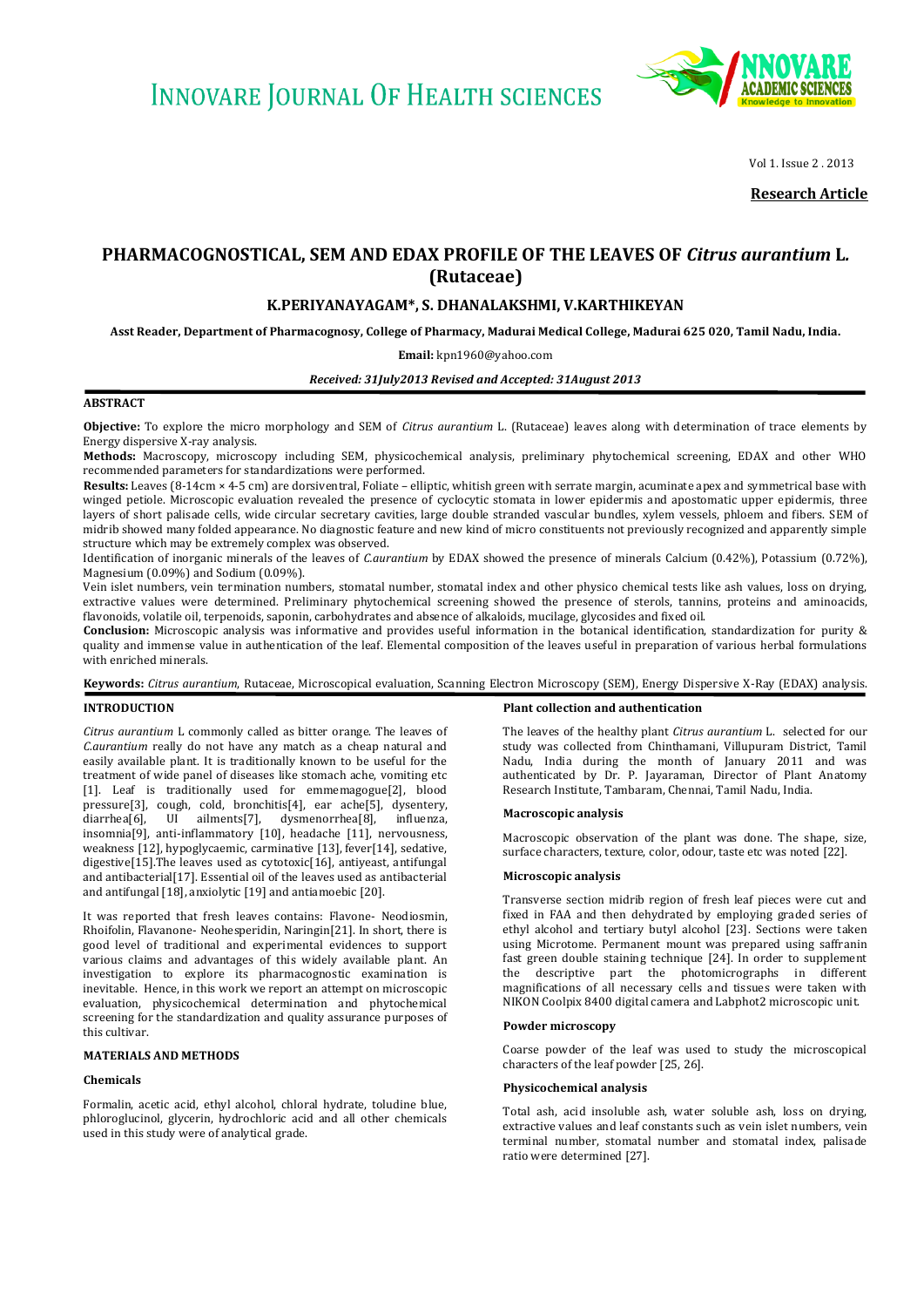

Vol 1, Issue 2 , 2013

**Research Article**

# **PHARMACOGNOSTICAL, SEM AND EDAX PROFILE OF THE LEAVES OF** *Citrus aurantium* **L***.*  **(Rutaceae)**

# **K.PERIYANAYAGAM\*, S. DHANALAKSHMI, V.KARTHIKEYAN**

**Asst Reader, Department of Pharmacognosy, College of Pharmacy, Madurai Medical College, Madurai 625 020, Tamil Nadu, India.**

### **Email:** [kpn1960@yahoo.com](mailto:kpn1960@yahoo.com)

*Received: 31July2013 Revised and Accepted: 31August 2013*

## **ABSTRACT**

**Objective:** To explore the micro morphology and SEM of *Citrus aurantium* L. (Rutaceae) leaves along with determination of trace elements by Energy dispersive X-ray analysis.

**Methods:** Macroscopy, microscopy including SEM, physicochemical analysis, preliminary phytochemical screening, EDAX and other WHO recommended parameters for standardizations were performed.

**Results:** Leaves (8-14cm × 4-5 cm) are dorsiventral, Foliate – elliptic, whitish green with serrate margin, acuminate apex and symmetrical base with winged petiole. Microscopic evaluation revealed the presence of cyclocytic stomata in lower epidermis and apostomatic upper epidermis, three layers of short palisade cells, wide circular secretary cavities, large double stranded vascular bundles, xylem vessels, phloem and fibers. SEM of midrib showed many folded appearance. No diagnostic feature and new kind of micro constituents not previously recognized and apparently simple structure which may be extremely complex was observed.

Identification of inorganic minerals of the leaves of *C.aurantium* by EDAX showed the presence of minerals Calcium (0.42%), Potassium (0.72%), Magnesium (0.09%) and Sodium (0.09%).

Vein islet numbers, vein termination numbers, stomatal number, stomatal index and other physico chemical tests like ash values, loss on drying, extractive values were determined. Preliminary phytochemical screening showed the presence of sterols, tannins, proteins and aminoacids, flavonoids, volatile oil, terpenoids, saponin, carbohydrates and absence of alkaloids, mucilage, glycosides and fixed oil.

**Conclusion:** Microscopic analysis was informative and provides useful information in the botanical identification, standardization for purity & quality and immense value in authentication of the leaf. Elemental composition of the leaves useful in preparation of various herbal formulations with enriched minerals.

**Keywords:** *Citrus aurantium*, Rutaceae, Microscopical evaluation, Scanning Electron Microscopy (SEM), Energy Dispersive X-Ray (EDAX) analysis.

### **INTRODUCTION**

*Citrus aurantium* L commonly called as bitter orange. The leaves of *C.aurantium* really do not have any match as a cheap natural and easily available plant. It is traditionally known to be useful for the treatment of wide panel of diseases like stomach ache, vomiting etc [1]. Leaf is traditionally used for emmemagogue[2], blood pressure[3], cough, cold, bronchitis[4], ear ache[5], dysentery, diarrhea[6], UI ailments[7], dysmenorrhea[8], influenza, insomnia[9], anti-inflammatory [10], headache [11], nervousness, weakness [12], hypoglycaemic, carminative [13], fever[14], sedative, digestive[15].The leaves used as cytotoxic[16], antiyeast, antifungal and antibacterial[17]. Essential oil of the leaves used as antibacterial and antifungal [18], anxiolytic [19] and antiamoebic [20].

It was reported that fresh leaves contains: Flavone- Neodiosmin, Rhoifolin, Flavanone- Neohesperidin, Naringin[21]. In short, there is good level of traditional and experimental evidences to support various claims and advantages of this widely available plant. An investigation to explore its pharmacognostic examination is inevitable. Hence, in this work we report an attempt on microscopic evaluation, physicochemical determination and phytochemical screening for the standardization and quality assurance purposes of this cultivar.

### **MATERIALS AND METHODS**

### **Chemicals**

Formalin, acetic acid, ethyl alcohol, chloral hydrate, toludine blue, phloroglucinol, glycerin, hydrochloric acid and all other chemicals used in this study were of analytical grade.

#### **Plant collection and authentication**

The leaves of the healthy plant *Citrus aurantium* L. selected for our study was collected from Chinthamani, Villupuram District, Tamil Nadu, India during the month of January 2011 and was authenticated by Dr. P. Jayaraman, Director of Plant Anatomy Research Institute, Tambaram, Chennai, Tamil Nadu, India.

### **Macroscopic analysis**

Macroscopic observation of the plant was done. The shape, size, surface characters, texture, color, odour, taste etc was noted [22].

### **Microscopic analysis**

Transverse section midrib region of fresh leaf pieces were cut and fixed in FAA and then dehydrated by employing graded series of ethyl alcohol and tertiary butyl alcohol [23]. Sections were taken using Microtome. Permanent mount was prepared using saffranin fast green double staining technique [24]. In order to supplement the descriptive part the photomicrographs in different magnifications of all necessary cells and tissues were taken with NIKON Coolpix 8400 digital camera and Labphot2 microscopic unit.

### **Powder microscopy**

Coarse powder of the leaf was used to study the microscopical characters of the leaf powder [25, 26].

#### **Physicochemical analysis**

Total ash, acid insoluble ash, water soluble ash, loss on drying, extractive values and leaf constants such as vein islet numbers, vein terminal number, stomatal number and stomatal index, palisade ratio were determined [27].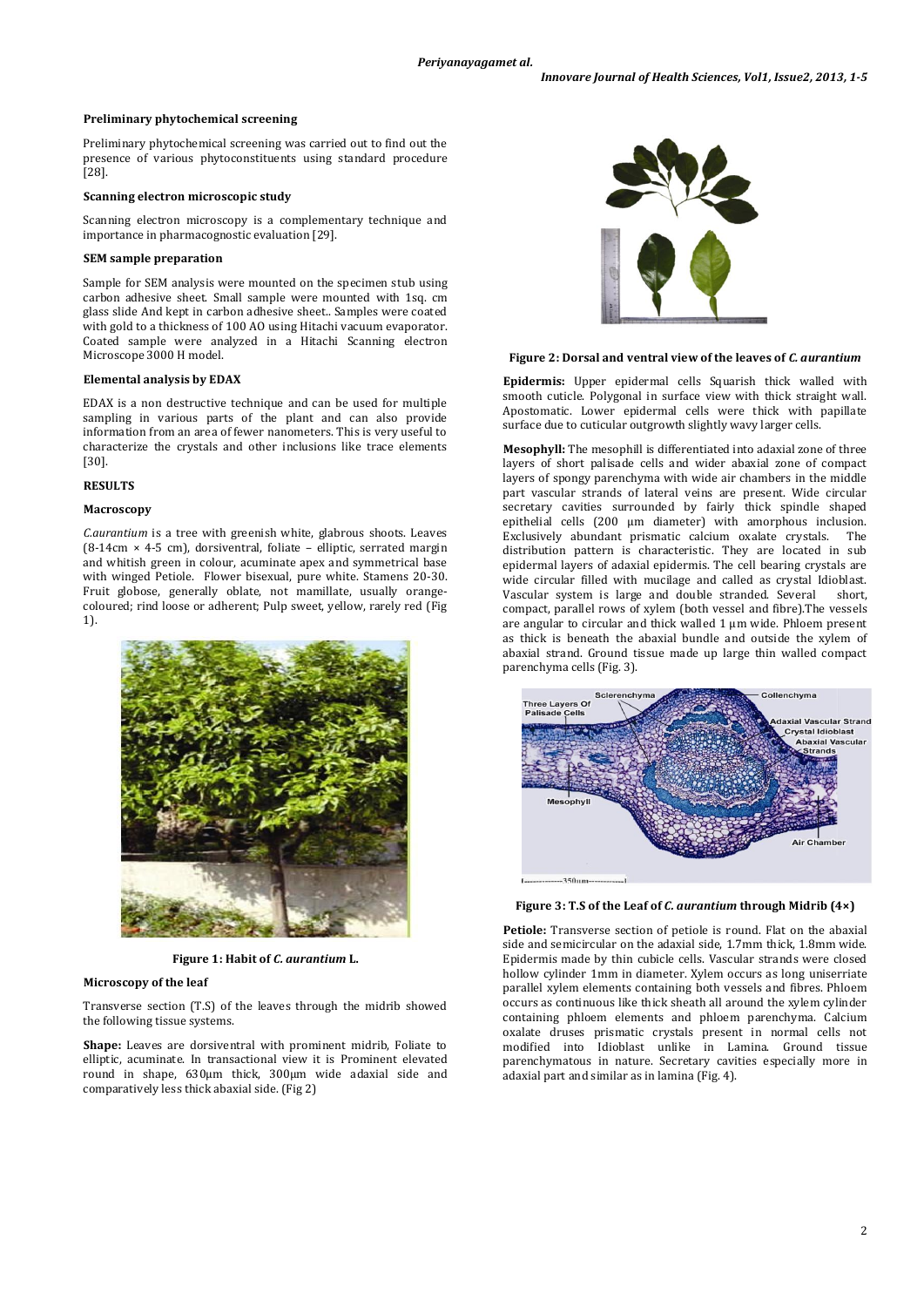### **Preliminary phytochemical screening**

Preliminary phytochemical screening was carried out to find out the presence of various phytoconstituents using standard procedure [28].

### **Scanning electron microscopic study**

Scanning electron microscopy is a complementary technique and importance in pharmacognostic evaluation [29].

#### **SEM sample preparation**

Sample for SEM analysis were mounted on the specimen stub using carbon adhesive sheet. Small sample were mounted with 1sq. cm glass slide And kept in carbon adhesive sheet.. Samples were coated with gold to a thickness of 100 AO using Hitachi vacuum evaporator. Coated sample were analyzed in a Hitachi Scanning electron Microscope 3000 H model.

# **Elemental analysis by EDAX**

EDAX is a non destructive technique and can be used for multiple sampling in various parts of the plant and can also provide information from an area of fewer nanometers. This is very useful to characterize the crystals and other inclusions like trace elements [30].

### **RESULTS**

### **Macroscopy**

*C.aurantium* is a tree with greenish white, glabrous shoots. Leaves (8-14cm × 4-5 cm), dorsiventral, foliate – elliptic, serrated margin and whitish green in colour, acuminate apex and symmetrical base with winged Petiole. Flower bisexual, pure white. Stamens 20-30. Fruit globose, generally oblate, not mamillate, usually orangecoloured; rind loose or adherent; Pulp sweet, yellow, rarely red (Fig 1).



**Figure 1: Habit of** *C. aurantium* **L.**

# **Microscopy of the leaf**

Transverse section (T.S) of the leaves through the midrib showed the following tissue systems.

**Shape:** Leaves are dorsiventral with prominent midrib, Foliate to elliptic, acuminate. In transactional view it is Prominent elevated round in shape, 630μm thick, 300µm wide adaxial side and comparatively less thick abaxial side. (Fig 2)



### **Figure 2: Dorsal and ventral view of the leaves of** *C. aurantium*

**Epidermis:** Upper epidermal cells Squarish thick walled with smooth cuticle. Polygonal in surface view with thick straight wall. Apostomatic. Lower epidermal cells were thick with papillate surface due to cuticular outgrowth slightly wavy larger cells.

**Mesophyll:** The mesophill is differentiated into adaxial zone of three layers of short palisade cells and wider abaxial zone of compact layers of spongy parenchyma with wide air chambers in the middle part vascular strands of lateral veins are present. Wide circular secretary cavities surrounded by fairly thick spindle shaped epithelial cells (200 µm diameter) with amorphous inclusion. Exclusively abundant prismatic calcium oxalate crystals. The distribution pattern is characteristic. They are located in sub epidermal layers of adaxial epidermis. The cell bearing crystals are wide circular filled with mucilage and called as crystal Idioblast. Vascular system is large and double stranded. Several short, compact, parallel rows of xylem (both vessel and fibre).The vessels are angular to circular and thick walled 1 µm wide. Phloem present as thick is beneath the abaxial bundle and outside the xylem of abaxial strand. Ground tissue made up large thin walled compact parenchyma cells (Fig. 3).





**Petiole:** Transverse section of petiole is round. Flat on the abaxial side and semicircular on the adaxial side, 1.7mm thick, 1.8mm wide. Epidermis made by thin cubicle cells. Vascular strands were closed hollow cylinder 1mm in diameter. Xylem occurs as long uniserriate parallel xylem elements containing both vessels and fibres. Phloem occurs as continuous like thick sheath all around the xylem cylinder containing phloem elements and phloem parenchyma. Calcium oxalate druses prismatic crystals present in normal cells not modified into Idioblast unlike in Lamina. Ground tissue parenchymatous in nature. Secretary cavities especially more in adaxial part and similar as in lamina (Fig. 4).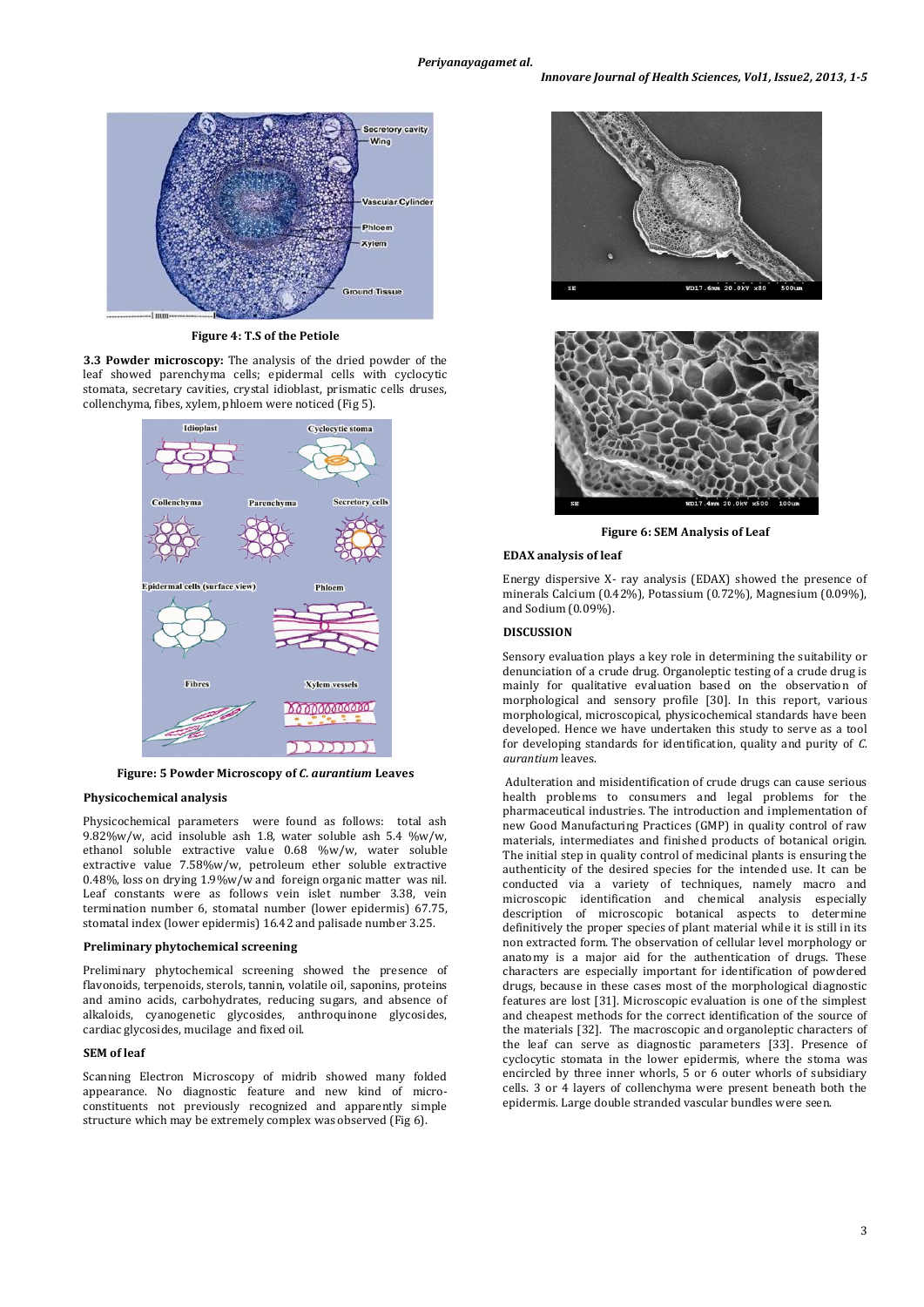

**Figure 4: T.S of the Petiole**

**3.3 Powder microscopy:** The analysis of the dried powder of the leaf showed parenchyma cells; epidermal cells with cyclocytic stomata, secretary cavities, crystal idioblast, prismatic cells druses, collenchyma, fibes, xylem, phloem were noticed (Fig 5).



**Figure: 5 Powder Microscopy of** *C. aurantium* **Leaves**

### **Physicochemical analysis**

Physicochemical parameters were found as follows: total ash 9.82%w/w, acid insoluble ash 1.8, water soluble ash 5.4 %w/w, ethanol soluble extractive value 0.68 %w/w, water soluble extractive value 7.58%w/w, petroleum ether soluble extractive 0.48%, loss on drying 1.9%w/w and foreign organic matter was nil. Leaf constants were as follows vein islet number 3.38, vein termination number 6, stomatal number (lower epidermis) 67.75, stomatal index (lower epidermis) 16.42 and palisade number 3.25.

# **Preliminary phytochemical screening**

Preliminary phytochemical screening showed the presence of flavonoids, terpenoids, sterols, tannin, volatile oil, saponins, proteins and amino acids, carbohydrates, reducing sugars, and absence of alkaloids, cyanogenetic glycosides, anthroquinone glycosides, cardiac glycosides, mucilage and fixed oil.

#### **SEM of leaf**

Scanning Electron Microscopy of midrib showed many folded appearance. No diagnostic feature and new kind of microconstituents not previously recognized and apparently simple structure which may be extremely complex was observed (Fig 6).





**Figure 6: SEM Analysis of Leaf**

#### **EDAX analysis of leaf**

Energy dispersive X- ray analysis (EDAX) showed the presence of minerals Calcium (0.42%), Potassium (0.72%), Magnesium (0.09%), and Sodium (0.09%).

### **DISCUSSION**

Sensory evaluation plays a key role in determining the suitability or denunciation of a crude drug. Organoleptic testing of a crude drug is mainly for qualitative evaluation based on the observation of morphological and sensory profile [30]. In this report, various morphological, microscopical, physicochemical standards have been developed. Hence we have undertaken this study to serve as a tool for developing standards for identification, quality and purity of *C. aurantium* leaves.

Adulteration and misidentification of crude drugs can cause serious health problems to consumers and legal problems for the pharmaceutical industries. The introduction and implementation of new Good Manufacturing Practices (GMP) in quality control of raw materials, intermediates and finished products of botanical origin. The initial step in quality control of medicinal plants is ensuring the authenticity of the desired species for the intended use. It can be conducted via a variety of techniques, namely macro and microscopic identification and chemical analysis especially description of microscopic botanical aspects to determine definitively the proper species of plant material while it is still in its non extracted form. The observation of cellular level morphology or anatomy is a major aid for the authentication of drugs. These characters are especially important for identification of powdered drugs, because in these cases most of the morphological diagnostic features are lost [31]. Microscopic evaluation is one of the simplest and cheapest methods for the correct identification of the source of the materials [32]. The macroscopic and organoleptic characters of the leaf can serve as diagnostic parameters [33]. Presence of cyclocytic stomata in the lower epidermis, where the stoma was encircled by three inner whorls, 5 or 6 outer whorls of subsidiary cells. 3 or 4 layers of collenchyma were present beneath both the epidermis. Large double stranded vascular bundles were seen.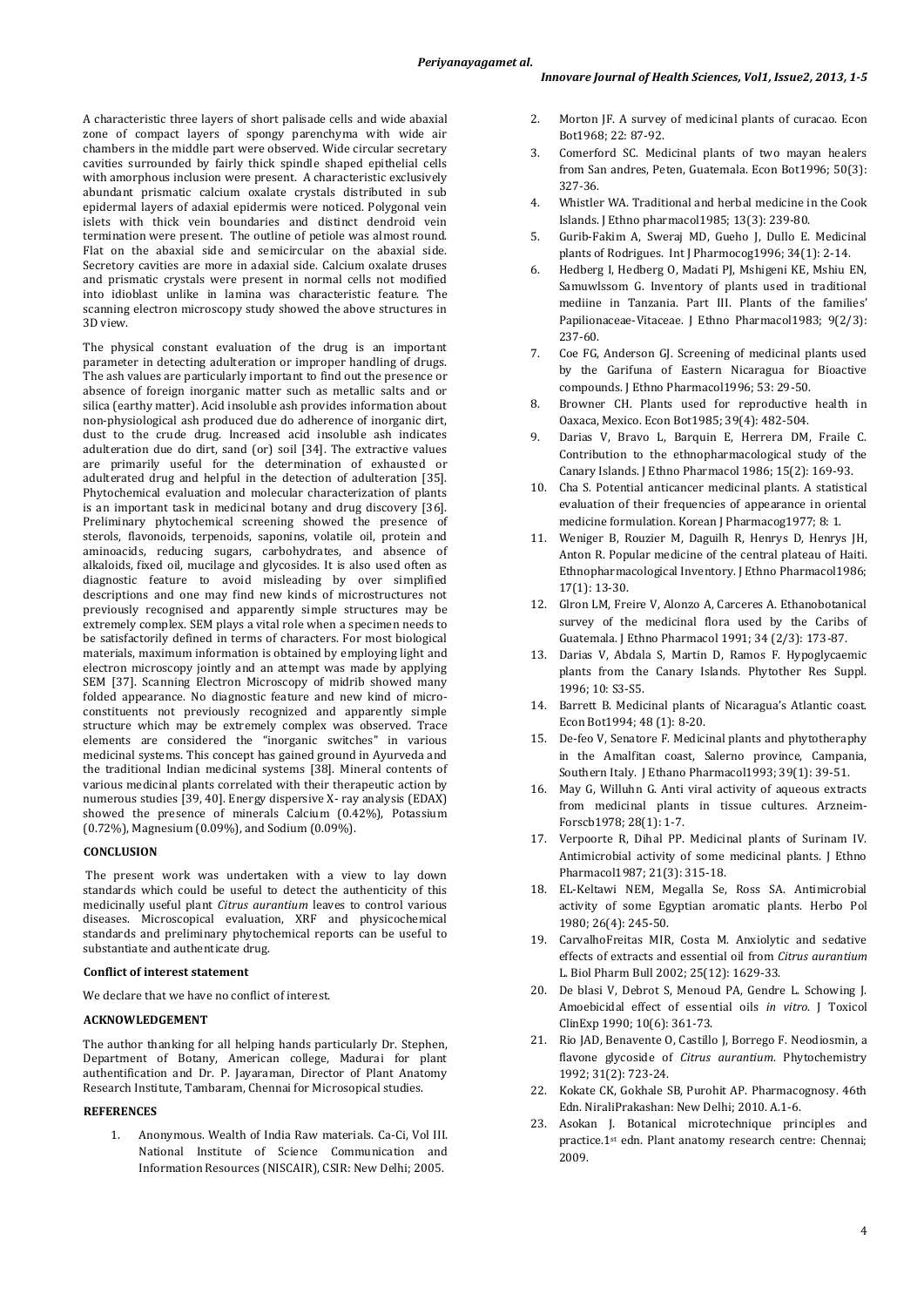A characteristic three layers of short palisade cells and wide abaxial zone of compact layers of spongy parenchyma with wide air chambers in the middle part were observed. Wide circular secretary cavities surrounded by fairly thick spindle shaped epithelial cells with amorphous inclusion were present. A characteristic exclusively abundant prismatic calcium oxalate crystals distributed in sub epidermal layers of adaxial epidermis were noticed. Polygonal vein islets with thick vein boundaries and distinct dendroid vein termination were present. The outline of petiole was almost round. Flat on the abaxial side and semicircular on the abaxial side. Secretory cavities are more in adaxial side. Calcium oxalate druses and prismatic crystals were present in normal cells not modified into idioblast unlike in lamina was characteristic feature. The scanning electron microscopy study showed the above structures in 3D view.

The physical constant evaluation of the drug is an important parameter in detecting adulteration or improper handling of drugs. The ash values are particularly important to find out the presence or absence of foreign inorganic matter such as metallic salts and or silica (earthy matter). Acid insoluble ash provides information about non-physiological ash produced due do adherence of inorganic dirt, dust to the crude drug. Increased acid insoluble ash indicates adulteration due do dirt, sand (or) soil [34]. The extractive values are primarily useful for the determination of exhausted or adulterated drug and helpful in the detection of adulteration [35]. Phytochemical evaluation and molecular characterization of plants is an important task in medicinal botany and drug discovery [36]. Preliminary phytochemical screening showed the presence of sterols, flavonoids, terpenoids, saponins, volatile oil, protein and aminoacids, reducing sugars, carbohydrates, and absence of alkaloids, fixed oil, mucilage and glycosides. It is also used often as diagnostic feature to avoid misleading by over simplified descriptions and one may find new kinds of microstructures not previously recognised and apparently simple structures may be extremely complex. SEM plays a vital role when a specimen needs to be satisfactorily defined in terms of characters. For most biological materials, maximum information is obtained by employing light and electron microscopy jointly and an attempt was made by applying SEM [37]. Scanning Electron Microscopy of midrib showed many folded appearance. No diagnostic feature and new kind of microconstituents not previously recognized and apparently simple structure which may be extremely complex was observed. Trace elements are considered the "inorganic switches" in various medicinal systems. This concept has gained ground in Ayurveda and the traditional Indian medicinal systems [38]. Mineral contents of various medicinal plants correlated with their therapeutic action by numerous studies [39, 40]. Energy dispersive X- ray analysis (EDAX) showed the presence of minerals Calcium (0.42%), Potassium (0.72%), Magnesium (0.09%), and Sodium (0.09%).

### **CONCLUSION**

The present work was undertaken with a view to lay down standards which could be useful to detect the authenticity of this medicinally useful plant *Citrus aurantium* leaves to control various diseases. Microscopical evaluation, XRF and physicochemical standards and preliminary phytochemical reports can be useful to substantiate and authenticate drug.

### **Conflict of interest statement**

We declare that we have no conflict of interest.

### **ACKNOWLEDGEMENT**

The author thanking for all helping hands particularly Dr. Stephen, Department of Botany, American college, Madurai for plant authentification and Dr. P. Jayaraman, Director of Plant Anatomy Research Institute, Tambaram, Chennai for Microsopical studies.

# **REFERENCES**

1. Anonymous. Wealth of India Raw materials. Ca-Ci, Vol III. National Institute of Science Communication and Information Resources (NISCAIR), CSIR: New Delhi; 2005.

- 2. Morton JF. A survey of medicinal plants of curacao. Econ Bot1968; 22: 87-92.
- 3. Comerford SC. Medicinal plants of two mayan healers from San andres, Peten, Guatemala. Econ Bot1996; 50(3): 327-36.
- 4. Whistler WA. Traditional and herbal medicine in the Cook Islands. J Ethno pharmacol1985; 13(3): 239-80.
- 5. Gurib-Fakim A, Sweraj MD, Gueho J, Dullo E. Medicinal plants of Rodrigues. Int J Pharmocog1996; 34(1): 2-14.
- 6. Hedberg I, Hedberg O, Madati PJ, Mshigeni KE, Mshiu EN, Samuwlssom G. Inventory of plants used in traditional mediine in Tanzania. Part III. Plants of the families' Papilionaceae-Vitaceae. J Ethno Pharmacol1983; 9(2/3): 237-60.
- 7. Coe FG, Anderson GJ. Screening of medicinal plants used by the Garifuna of Eastern Nicaragua for Bioactive compounds. J Ethno Pharmacol1996; 53: 29-50.
- 8. Browner CH. Plants used for reproductive health in Oaxaca, Mexico. Econ Bot1985; 39(4): 482-504.
- 9. Darias V, Bravo L, Barquin E, Herrera DM, Fraile C. Contribution to the ethnopharmacological study of the Canary Islands. J Ethno Pharmacol 1986; 15(2): 169-93.
- 10. Cha S. Potential anticancer medicinal plants. A statistical evaluation of their frequencies of appearance in oriental medicine formulation. Korean J Pharmacog1977; 8: 1.
- 11. Weniger B, Rouzier M, Daguilh R, Henrys D, Henrys JH, Anton R. Popular medicine of the central plateau of Haiti. Ethnopharmacological Inventory. J Ethno Pharmacol1986; 17(1): 13-30.
- 12. Glron LM, Freire V, Alonzo A, Carceres A. Ethanobotanical survey of the medicinal flora used by the Caribs of Guatemala. J Ethno Pharmacol 1991; 34 (2/3): 173-87.
- 13. Darias V, Abdala S, Martin D, Ramos F. Hypoglycaemic plants from the Canary Islands. Phytother Res Suppl. 1996; 10: S3-S5.
- 14. Barrett B. Medicinal plants of Nicaragua's Atlantic coast. Econ Bot1994; 48 (1): 8-20.
- 15. De-feo V, Senatore F. Medicinal plants and phytotheraphy in the Amalfitan coast, Salerno province, Campania, Southern Italy. J Ethano Pharmacol1993; 39(1): 39-51.
- 16. May G, Willuhn G. Anti viral activity of aqueous extracts from medicinal plants in tissue cultures. Arzneim-Forscb1978; 28(1): 1-7.
- 17. Verpoorte R, Dihal PP. Medicinal plants of Surinam IV. Antimicrobial activity of some medicinal plants. J Ethno Pharmacol1987; 21(3): 315-18.
- 18. EL-Keltawi NEM, Megalla Se, Ross SA. Antimicrobial activity of some Egyptian aromatic plants. Herbo Pol 1980; 26(4): 245-50.
- 19. CarvalhoFreitas MIR, Costa M. Anxiolytic and sedative effects of extracts and essential oil from *Citrus aurantium* L. Biol Pharm Bull 2002; 25(12): 1629-33.
- 20. De blasi V, Debrot S, Menoud PA, Gendre L. Schowing J. Amoebicidal effect of essential oils *in vitro*. J Toxicol ClinExp 1990; 10(6): 361-73.
- 21. Rio JAD, Benavente O, Castillo J, Borrego F. Neodiosmin, a flavone glycoside of *Citrus aurantium*. Phytochemistry 1992; 31(2): 723-24.
- 22. Kokate CK, Gokhale SB, Purohit AP. Pharmacognosy. 46th Edn. NiraliPrakashan: New Delhi; 2010. A.1-6.
- 23. Asokan J. Botanical microtechnique principles and practice.1st edn. Plant anatomy research centre: Chennai; 2009.